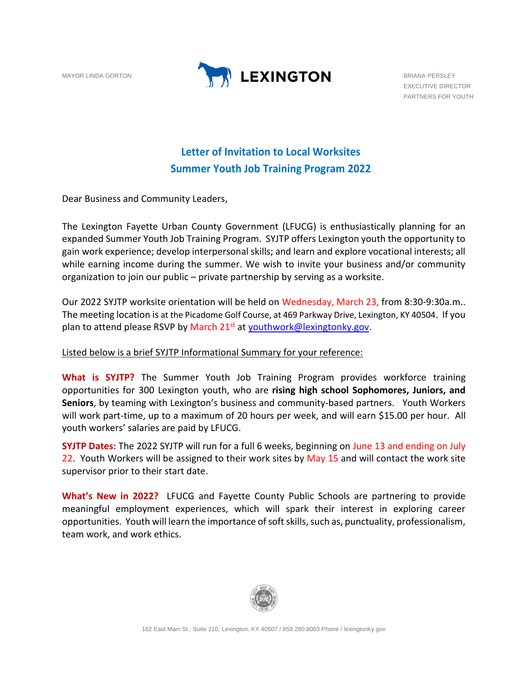

EXECUTIVE DIRECTOR PARTNERS FOR YOUTH

## **Letter of Invitation to Local Worksites Summer Youth Job Training Program 2022**

Dear Business and Community Leaders,

The Lexington Fayette Urban County Government (LFUCG) is enthusiastically planning for an expanded Summer Youth Job Training Program. SYJTP offers Lexington youth the opportunity to gain work experience; develop interpersonal skills; and learn and explore vocational interests; all while earning income during the summer. We wish to invite your business and/or community organization to join our public – private partnership by serving as a worksite.

Our 2022 SYJTP worksite orientation will be held on Wednesday, March 23, from 8:30-9:30a.m.. The meeting location is at the Picadome Golf Course, at 469 Parkway Drive, Lexington, KY 40504. If you plan to attend please RSVP by March 21<sup>st</sup> at [youthwork@lexingtonky.gov.](mailto:youthwork@lexingtonky.gov)

## Listed below is a brief SYJTP Informational Summary for your reference:

**What is SYJTP?** The Summer Youth Job Training Program provides workforce training opportunities for 300 Lexington youth, who are **rising high school Sophomores, Juniors, and Seniors**, by teaming with Lexington's business and community-based partners. Youth Workers will work part-time, up to a maximum of 20 hours per week, and will earn \$15.00 per hour. All youth workers' salaries are paid by LFUCG.

**SYJTP Dates:** The 2022 SYJTP will run for a full 6 weeks, beginning on June 13 and ending on July 22. Youth Workers will be assigned to their work sites by May 15 and will contact the work site supervisor prior to their start date.

**What's New in 2022?** LFUCG and Fayette County Public Schools are partnering to provide meaningful employment experiences, which will spark their interest in exploring career opportunities. Youth will learn the importance of soft skills, such as, punctuality, professionalism, team work, and work ethics.